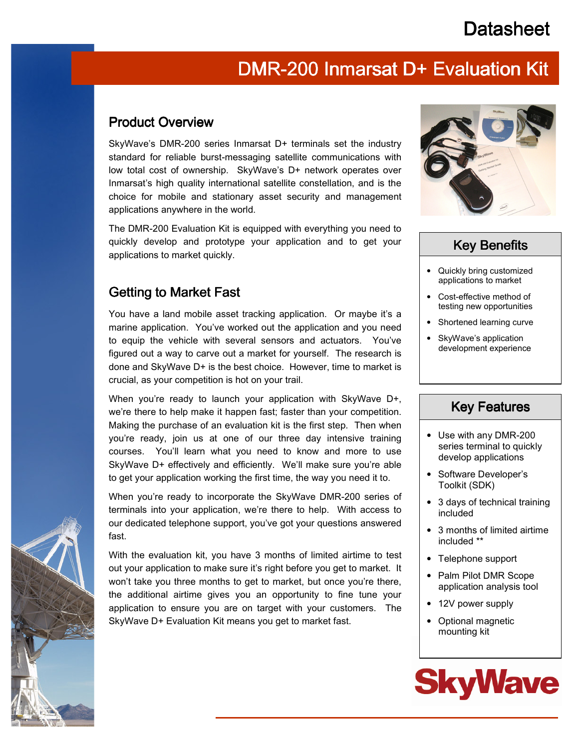# **Datasheet**

### DMR-200 Inmarsat D+ Evaluation Kit

#### Product Overview

SkyWave's DMR-200 series Inmarsat D+ terminals set the industry standard for reliable burst-messaging satellite communications with low total cost of ownership. SkyWave's D+ network operates over Inmarsat's high quality international satellite constellation, and is the choice for mobile and stationary asset security and management applications anywhere in the world.

The DMR-200 Evaluation Kit is equipped with everything you need to quickly develop and prototype your application and to get your applications to market quickly.

### Getting to Market Fast

You have a land mobile asset tracking application. Or maybe it's a marine application. You've worked out the application and you need to equip the vehicle with several sensors and actuators. You've figured out a way to carve out a market for yourself. The research is done and SkyWave D+ is the best choice. However, time to market is crucial, as your competition is hot on your trail.

When you're ready to launch your application with SkyWave D+, we're there to help make it happen fast; faster than your competition. Making the purchase of an evaluation kit is the first step. Then when you're ready, join us at one of our three day intensive training courses. You'll learn what you need to know and more to use SkyWave D+ effectively and efficiently. We'll make sure you're able to get your application working the first time, the way you need it to.

When you're ready to incorporate the SkyWave DMR-200 series of terminals into your application, we're there to help. With access to our dedicated telephone support, you've got your questions answered fast.

With the evaluation kit, you have 3 months of limited airtime to test out your application to make sure it's right before you get to market. It won't take you three months to get to market, but once you're there, the additional airtime gives you an opportunity to fine tune your application to ensure you are on target with your customers. The SkyWave D+ Evaluation Kit means you get to market fast.



### **Key Benefits**

- Quickly bring customized applications to market
- Cost-effective method of testing new opportunities
- Shortened learning curve
- SkyWave's application development experience

#### **Key Features**

- Use with any DMR-200 series terminal to quickly develop applications
- Software Developer's Toolkit (SDK)
- 3 days of technical training included
- 3 months of limited airtime included \*\*
- Telephone support
- Palm Pilot DMR Scope application analysis tool
- 12V power supply
- Optional magnetic mounting kit